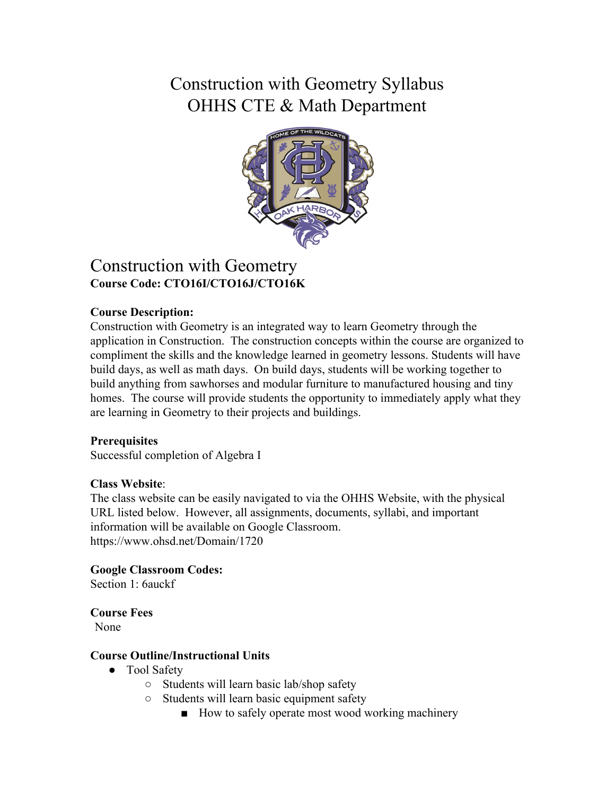# Construction with Geometry Syllabus OHHS CTE & Math Department



## Construction with Geometry **Course Code: CTO16I/CTO16J/CTO16K**

### **Course Description:**

Construction with Geometry is an integrated way to learn Geometry through the application in Construction. The construction concepts within the course are organized to compliment the skills and the knowledge learned in geometry lessons. Students will have build days, as well as math days. On build days, students will be working together to build anything from sawhorses and modular furniture to manufactured housing and tiny homes. The course will provide students the opportunity to immediately apply what they are learning in Geometry to their projects and buildings.

#### **Prerequisites**

Successful completion of Algebra I

#### **Class Website**:

The class website can be easily navigated to via the OHHS Website, with the physical URL listed below. However, all assignments, documents, syllabi, and important information will be available on Google Classroom. https://www.ohsd.net/Domain/1720

**Google Classroom Codes:**

Section 1: 6auckf

**Course Fees** None

#### **Course Outline/Instructional Units**

- Tool Safety
	- Students will learn basic lab/shop safety
	- Students will learn basic equipment safety
		- How to safely operate most wood working machinery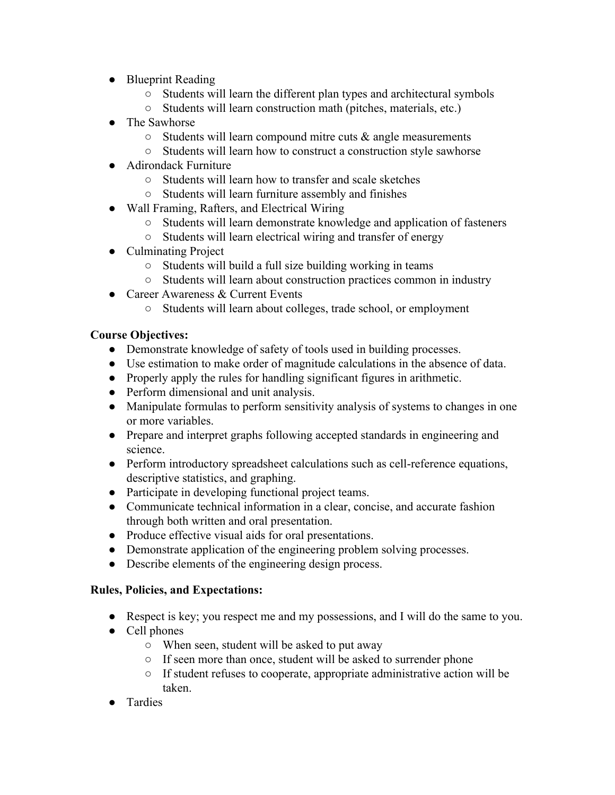- Blueprint Reading
	- Students will learn the different plan types and architectural symbols
	- Students will learn construction math (pitches, materials, etc.)
- The Sawhorse
	- $\circ$  Students will learn compound mitre cuts  $\&$  angle measurements
	- Students will learn how to construct a construction style sawhorse
- Adirondack Furniture
	- Students will learn how to transfer and scale sketches
	- Students will learn furniture assembly and finishes
- Wall Framing, Rafters, and Electrical Wiring
	- Students will learn demonstrate knowledge and application of fasteners
	- Students will learn electrical wiring and transfer of energy
- Culminating Project
	- Students will build a full size building working in teams
	- Students will learn about construction practices common in industry
- Career Awareness & Current Events
	- Students will learn about colleges, trade school, or employment

## **Course Objectives:**

- Demonstrate knowledge of safety of tools used in building processes.
- Use estimation to make order of magnitude calculations in the absence of data.
- Properly apply the rules for handling significant figures in arithmetic.
- Perform dimensional and unit analysis.
- Manipulate formulas to perform sensitivity analysis of systems to changes in one or more variables.
- Prepare and interpret graphs following accepted standards in engineering and science.
- Perform introductory spreadsheet calculations such as cell-reference equations, descriptive statistics, and graphing.
- Participate in developing functional project teams.
- Communicate technical information in a clear, concise, and accurate fashion through both written and oral presentation.
- Produce effective visual aids for oral presentations.
- Demonstrate application of the engineering problem solving processes.
- Describe elements of the engineering design process.

## **Rules, Policies, and Expectations:**

- Respect is key; you respect me and my possessions, and I will do the same to you.
- Cell phones
	- When seen, student will be asked to put away
	- If seen more than once, student will be asked to surrender phone
	- If student refuses to cooperate, appropriate administrative action will be taken.
- **Tardies**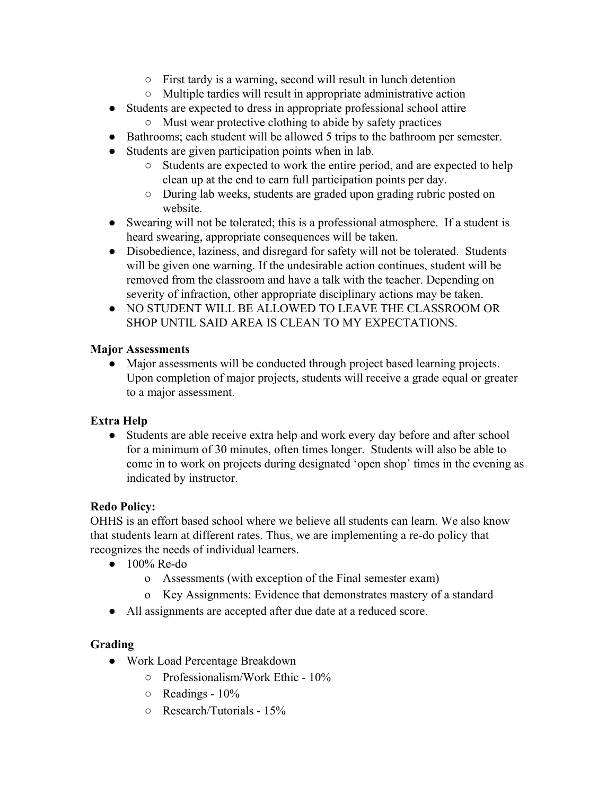- First tardy is a warning, second will result in lunch detention
- Multiple tardies will result in appropriate administrative action
- Students are expected to dress in appropriate professional school attire
	- Must wear protective clothing to abide by safety practices
- Bathrooms; each student will be allowed 5 trips to the bathroom per semester.
- Students are given participation points when in lab.
	- Students are expected to work the entire period, and are expected to help clean up at the end to earn full participation points per day.
	- During lab weeks, students are graded upon grading rubric posted on website.
- Swearing will not be tolerated; this is a professional atmosphere. If a student is heard swearing, appropriate consequences will be taken.
- Disobedience, laziness, and disregard for safety will not be tolerated. Students will be given one warning. If the undesirable action continues, student will be removed from the classroom and have a talk with the teacher. Depending on severity of infraction, other appropriate disciplinary actions may be taken.
- NO STUDENT WILL BE ALLOWED TO LEAVE THE CLASSROOM OR SHOP UNTIL SAID AREA IS CLEAN TO MY EXPECTATIONS.

#### **Major Assessments**

● Major assessments will be conducted through project based learning projects. Upon completion of major projects, students will receive a grade equal or greater to a major assessment.

## **Extra Help**

• Students are able receive extra help and work every day before and after school for a minimum of 30 minutes, often times longer. Students will also be able to come in to work on projects during designated 'open shop' times in the evening as indicated by instructor.

#### **Redo Policy:**

OHHS is an effort based school where we believe all students can learn. We also know that students learn at different rates. Thus, we are implementing a re-do policy that recognizes the needs of individual learners.

- 100% Re-do
	- o Assessments (with exception of the Final semester exam)
	- o Key Assignments: Evidence that demonstrates mastery of a standard
- All assignments are accepted after due date at a reduced score.

## **Grading**

- Work Load Percentage Breakdown
	- Professionalism/Work Ethic 10%
	- $\circ$  Readings 10%
	- Research/Tutorials 15%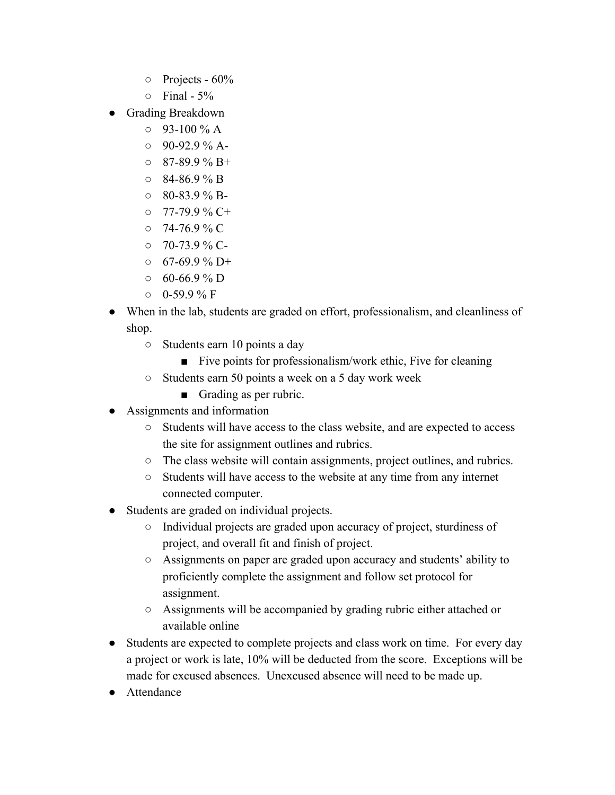- $\circ$  Projects 60%
- $\circ$  Final 5%
- Grading Breakdown
	- $\circ$  93-100 % A
	- $0.90-92.9\%$  A-
	- $\circ$  87-89.9 % B+
	- $\circ$  84-86.9 % B
	- $\circ$  80-83.9 % B-
	- 77-79.9 % C+
	- $0.74-76.9\%$  C
	- $\circ$  70-73.9 % C-
	- $0.67-69.9\%$  D+
	- $0.60-66.9\%$  D
	- $0-59.9\%$  F
- When in the lab, students are graded on effort, professionalism, and cleanliness of shop.
	- Students earn 10 points a day
		- Five points for professionalism/work ethic, Five for cleaning
	- Students earn 50 points a week on a 5 day work week
		- Grading as per rubric.
- Assignments and information
	- Students will have access to the class website, and are expected to access the site for assignment outlines and rubrics.
	- The class website will contain assignments, project outlines, and rubrics.
	- Students will have access to the website at any time from any internet connected computer.
- Students are graded on individual projects.
	- Individual projects are graded upon accuracy of project, sturdiness of project, and overall fit and finish of project.
	- Assignments on paper are graded upon accuracy and students' ability to proficiently complete the assignment and follow set protocol for assignment.
	- Assignments will be accompanied by grading rubric either attached or available online
- Students are expected to complete projects and class work on time. For every day a project or work is late, 10% will be deducted from the score. Exceptions will be made for excused absences. Unexcused absence will need to be made up.
- Attendance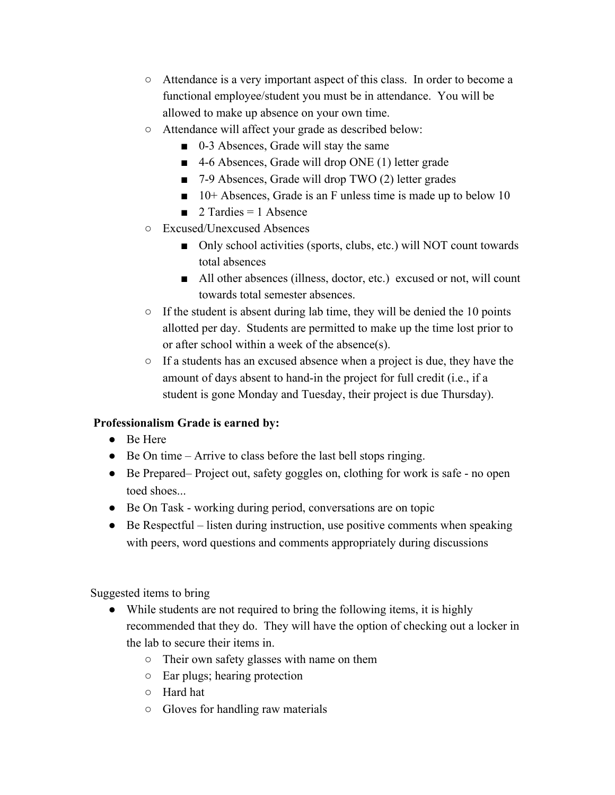- Attendance is a very important aspect of this class. In order to become a functional employee/student you must be in attendance. You will be allowed to make up absence on your own time.
- Attendance will affect your grade as described below:
	- 0-3 Absences, Grade will stay the same
	- 4-6 Absences, Grade will drop ONE (1) letter grade
	- 7-9 Absences, Grade will drop TWO (2) letter grades
	- 10+ Absences, Grade is an F unless time is made up to below 10
	- $\blacksquare$  2 Tardies = 1 Absence
- Excused/Unexcused Absences
	- Only school activities (sports, clubs, etc.) will NOT count towards total absences
	- All other absences (illness, doctor, etc.) excused or not, will count towards total semester absences.
- $\circ$  If the student is absent during lab time, they will be denied the 10 points allotted per day. Students are permitted to make up the time lost prior to or after school within a week of the absence(s).
- If a students has an excused absence when a project is due, they have the amount of days absent to hand-in the project for full credit (i.e., if a student is gone Monday and Tuesday, their project is due Thursday).

## **Professionalism Grade is earned by:**

- Be Here
- Be On time Arrive to class before the last bell stops ringing.
- Be Prepared– Project out, safety goggles on, clothing for work is safe no open toed shoes.
- Be On Task working during period, conversations are on topic
- $\bullet$  Be Respectful listen during instruction, use positive comments when speaking with peers, word questions and comments appropriately during discussions

Suggested items to bring

- While students are not required to bring the following items, it is highly recommended that they do. They will have the option of checking out a locker in the lab to secure their items in.
	- Their own safety glasses with name on them
	- Ear plugs; hearing protection
	- Hard hat
	- Gloves for handling raw materials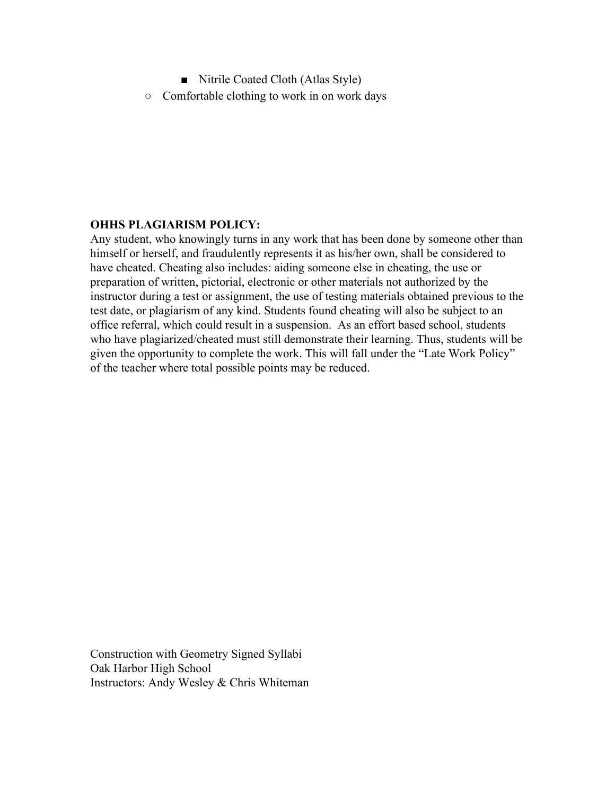■ Nitrile Coated Cloth (Atlas Style) ○ Comfortable clothing to work in on work days

#### **OHHS PLAGIARISM POLICY:**

Any student, who knowingly turns in any work that has been done by someone other than himself or herself, and fraudulently represents it as his/her own, shall be considered to have cheated. Cheating also includes: aiding someone else in cheating, the use or preparation of written, pictorial, electronic or other materials not authorized by the instructor during a test or assignment, the use of testing materials obtained previous to the test date, or plagiarism of any kind. Students found cheating will also be subject to an office referral, which could result in a suspension. As an effort based school, students who have plagiarized/cheated must still demonstrate their learning. Thus, students will be given the opportunity to complete the work. This will fall under the "Late Work Policy" of the teacher where total possible points may be reduced.

Construction with Geometry Signed Syllabi Oak Harbor High School Instructors: Andy Wesley & Chris Whiteman